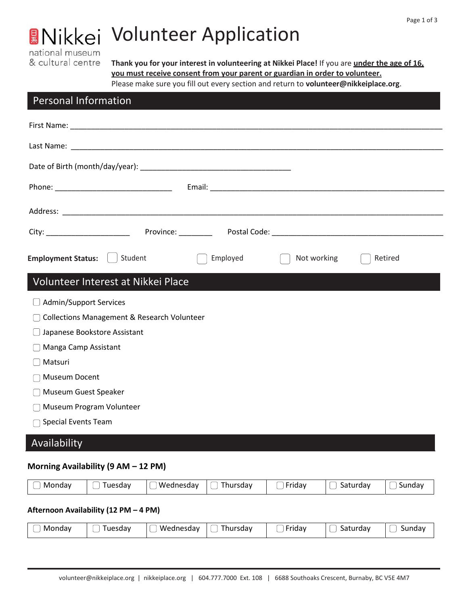## national museum & cultural centre

# **A**Nikkei Volunteer Application

**Thank you for your interest in volunteering at Nikkei Place!** If you are **under the age of 16, you must receive consent from your parent or guardian in order to volunteer.** Please make sure you fill out every section and return to **[volunteer@nikkeiplace.org](mailto:volunteer@nikkeiplace.org)**.

## Personal Information

| <b>Employment Status:</b><br>Student                   | Employed | Not working | Retired |  |
|--------------------------------------------------------|----------|-------------|---------|--|
| Volunteer Interest at Nikkei Place                     |          |             |         |  |
| Admin/Support Services                                 |          |             |         |  |
| <b>Collections Management &amp; Research Volunteer</b> |          |             |         |  |
| Japanese Bookstore Assistant                           |          |             |         |  |
| Manga Camp Assistant                                   |          |             |         |  |
| Matsuri                                                |          |             |         |  |
| Museum Docent                                          |          |             |         |  |
| Museum Guest Speaker                                   |          |             |         |  |
| Museum Program Volunteer                               |          |             |         |  |
| Special Events Team                                    |          |             |         |  |

## Availability

### **Morning Availability (9 AM – 12 PM)**

| Mondav | l uesdav | 'Wednesdav | i hursdav | <b>riday</b> | saturdav | Sundav |
|--------|----------|------------|-----------|--------------|----------|--------|
|--------|----------|------------|-----------|--------------|----------|--------|

#### **Afternoon Availability (12 PM – 4 PM)**

| Mondav<br>Tuesday<br>__ | Wednesdav | Thursdav | $\overline{\phantom{0}}$<br>-ridav<br>► | saturdav<br>_ | sundav |
|-------------------------|-----------|----------|-----------------------------------------|---------------|--------|
|-------------------------|-----------|----------|-----------------------------------------|---------------|--------|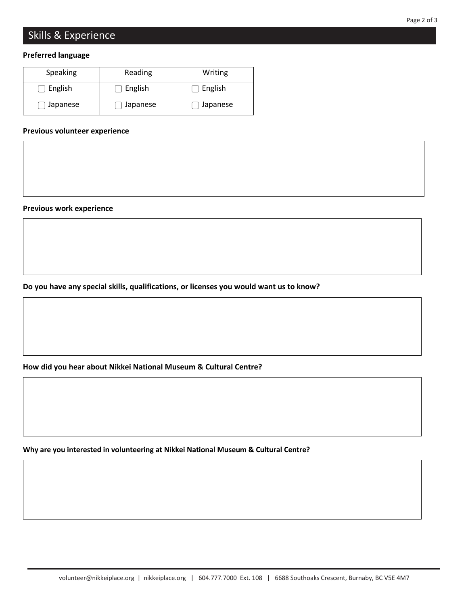## Skills & Experience

#### **Preferred language**

| Speaking | Reading  | Writing  |
|----------|----------|----------|
| English  | English  | English  |
| Japanese | Japanese | Japanese |

#### **Previous volunteer experience**

**Previous work experience**

**Do you have any special skills, qualifications, or licenses you would want us to know?**

**How did you hear about Nikkei National Museum & Cultural Centre?**

**Why are you interested in volunteering at Nikkei National Museum & Cultural Centre?**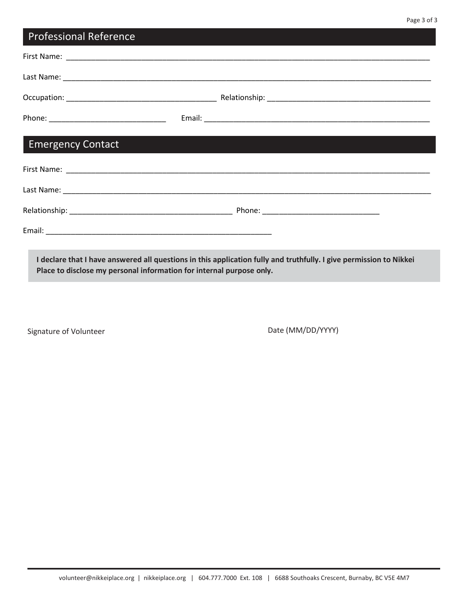| <b>Professional Reference</b> |                                                                                                                    |
|-------------------------------|--------------------------------------------------------------------------------------------------------------------|
|                               |                                                                                                                    |
|                               |                                                                                                                    |
|                               |                                                                                                                    |
|                               |                                                                                                                    |
| <b>Emergency Contact</b>      |                                                                                                                    |
|                               |                                                                                                                    |
|                               |                                                                                                                    |
|                               |                                                                                                                    |
|                               |                                                                                                                    |
|                               | I declare that I have answered all questions in this application fully and truthfully. I give permission to Nikkei |

**Place to disclose my personal information for internal purpose only.**

Signature of Volunteer and Date (MM/DD/YYYY)